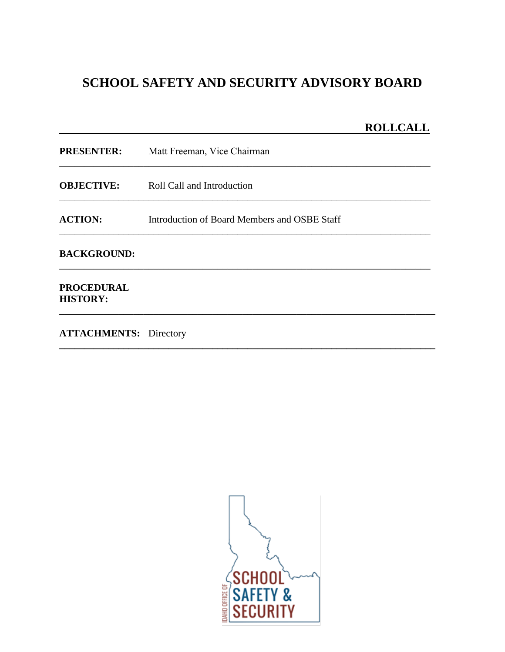**ROLLCALL**

| <b>PRESENTER:</b>                    | Matt Freeman, Vice Chairman                  |
|--------------------------------------|----------------------------------------------|
| <b>OBJECTIVE:</b>                    | Roll Call and Introduction                   |
| <b>ACTION:</b>                       | Introduction of Board Members and OSBE Staff |
| <b>BACKGROUND:</b>                   |                                              |
| <b>PROCEDURAL</b><br><b>HISTORY:</b> |                                              |
|                                      |                                              |

**\_\_\_\_\_\_\_\_\_\_\_\_\_\_\_\_\_\_\_\_\_\_\_\_\_\_\_\_\_\_\_\_\_\_\_\_\_\_\_\_\_\_\_\_\_\_\_\_\_\_\_\_\_\_\_\_\_\_\_\_\_\_\_\_\_\_\_\_\_\_\_\_\_\_\_\_**

**ATTACHMENTS:** Directory

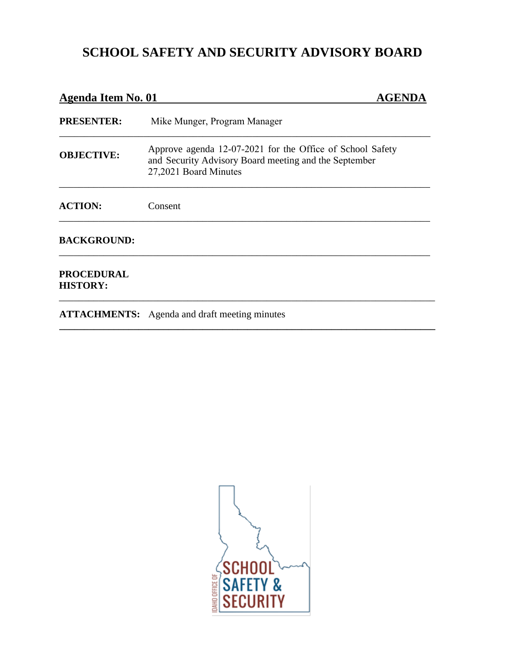## **Agenda Item No. 01** AGENDA **PRESENTER:** Mike Munger, Program Manager \_\_\_\_\_\_\_\_\_\_\_\_\_\_\_\_\_\_\_\_\_\_\_\_\_\_\_\_\_\_\_\_\_\_\_\_\_\_\_\_\_\_\_\_\_\_\_\_\_\_\_\_\_\_\_\_\_\_\_\_\_\_\_\_\_\_\_\_\_\_\_\_\_\_\_ **OBJECTIVE:** Approve agenda 12-07-2021 for the Office of School Safety and Security Advisory Board meeting and the September 27,2021 Board Minutes \_\_\_\_\_\_\_\_\_\_\_\_\_\_\_\_\_\_\_\_\_\_\_\_\_\_\_\_\_\_\_\_\_\_\_\_\_\_\_\_\_\_\_\_\_\_\_\_\_\_\_\_\_\_\_\_\_\_\_\_\_\_\_\_\_\_\_\_\_\_\_\_\_\_\_ **ACTION:** Consent \_\_\_\_\_\_\_\_\_\_\_\_\_\_\_\_\_\_\_\_\_\_\_\_\_\_\_\_\_\_\_\_\_\_\_\_\_\_\_\_\_\_\_\_\_\_\_\_\_\_\_\_\_\_\_\_\_\_\_\_\_\_\_\_\_\_\_\_\_\_\_\_\_\_\_ **BACKGROUND:**  \_\_\_\_\_\_\_\_\_\_\_\_\_\_\_\_\_\_\_\_\_\_\_\_\_\_\_\_\_\_\_\_\_\_\_\_\_\_\_\_\_\_\_\_\_\_\_\_\_\_\_\_\_\_\_\_\_\_\_\_\_\_\_\_\_\_\_\_\_\_\_\_\_\_\_ **PROCEDURAL HISTORY:** \_\_\_\_\_\_\_\_\_\_\_\_\_\_\_\_\_\_\_\_\_\_\_\_\_\_\_\_\_\_\_\_\_\_\_\_\_\_\_\_\_\_\_\_\_\_\_\_\_\_\_\_\_\_\_\_\_\_\_\_\_\_\_\_\_\_\_\_\_\_\_\_\_\_\_\_ **ATTACHMENTS:** Agenda and draft meeting minutes **\_\_\_\_\_\_\_\_\_\_\_\_\_\_\_\_\_\_\_\_\_\_\_\_\_\_\_\_\_\_\_\_\_\_\_\_\_\_\_\_\_\_\_\_\_\_\_\_\_\_\_\_\_\_\_\_\_\_\_\_\_\_\_\_\_\_\_\_\_\_\_\_\_\_\_\_**

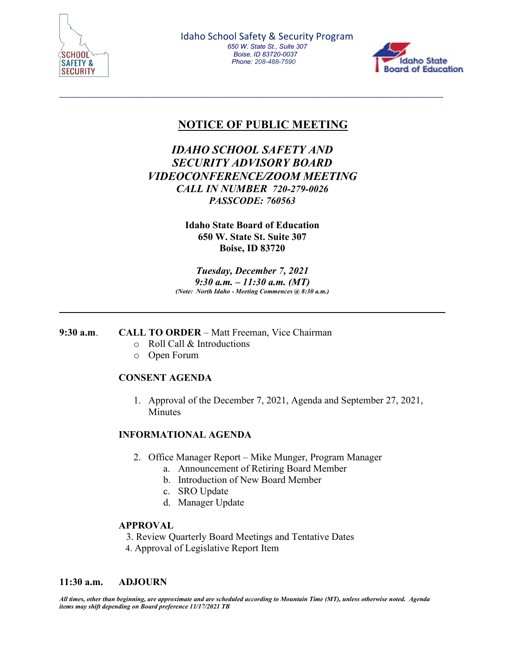

Idaho School Safety & Security Program *650 W. State St., Suite 307 Boise, ID 83720-0037 Phone: 208-488-7590*



### **NOTICE OF PUBLIC MEETING**

#### *IDAHO SCHOOL SAFETY AND SECURITY ADVISORY BOARD VIDEOCONFERENCE/ZOOM MEETING CALL IN NUMBER 720-279-0026 PASSCODE: 760563*

\_\_\_\_\_\_\_\_\_\_\_\_\_\_\_\_\_\_\_\_\_\_\_\_\_\_\_\_\_\_\_\_\_\_\_\_\_\_\_\_\_\_\_\_\_\_\_\_\_\_\_\_\_\_\_\_\_\_\_\_\_\_\_\_\_\_\_\_\_\_\_\_\_\_\_\_\_\_\_\_\_\_\_\_\_

**Idaho State Board of Education 650 W. State St. Suite 307 Boise, ID 83720**

*Tuesday, December 7, 2021 9:30 a.m. – 11:30 a.m. (MT) (Note: North Idaho - Meeting Commences @ 8:30 a.m.)*

**9:30 a.m**. **CALL TO ORDER** – Matt Freeman, Vice Chairman

- o Roll Call & Introductions
- o Open Forum

#### **CONSENT AGENDA**

1. Approval of the December 7, 2021, Agenda and September 27, 2021, **Minutes** 

#### **INFORMATIONAL AGENDA**

- 2. Office Manager Report Mike Munger, Program Manager
	- a. Announcement of Retiring Board Member
	- b. Introduction of New Board Member
	- c. SRO Update
	- d. Manager Update

#### **APPROVAL**

3. Review Quarterly Board Meetings and Tentative Dates

4. Approval of Legislative Report Item

#### **11:30 a.m. ADJOURN**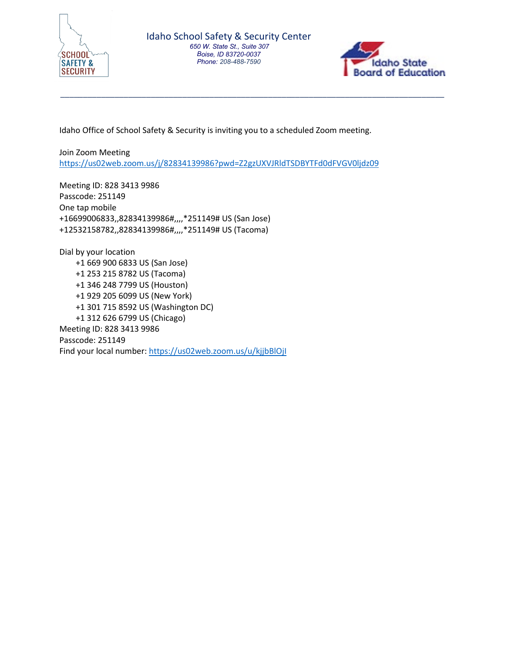

Idaho School Safety & Security Center *650 W. State St., Suite 307 Boise, ID 83720-0037 Phone: 208-488-7590*

\_\_\_\_\_\_\_\_\_\_\_\_\_\_\_\_\_\_\_\_\_\_\_\_\_\_\_\_\_\_\_\_\_\_\_\_\_\_\_\_\_\_\_\_\_\_\_\_\_\_\_\_\_\_\_\_\_\_\_\_\_\_\_\_\_\_\_\_\_\_\_\_\_\_\_\_\_\_\_\_\_\_\_\_\_



Idaho Office of School Safety & Security is inviting you to a scheduled Zoom meeting.

#### Join Zoom Meeting https://us02web.zoom.us/j/82834139986?pwd=Z2gzUXVJRldTSDBYTFd0dFVGV0ljdz09

Meeting ID: 828 3413 9986 Passcode: 251149 One tap mobile +16699006833,,82834139986#,,,,\*251149# US (San Jose) +12532158782,,82834139986#,,,,\*251149# US (Tacoma)

Dial by your location +1 669 900 6833 US (San Jose) +1 253 215 8782 US (Tacoma) +1 346 248 7799 US (Houston) +1 929 205 6099 US (New York) +1 301 715 8592 US (Washington DC) +1 312 626 6799 US (Chicago) Meeting ID: 828 3413 9986 Passcode: 251149 Find your local number: https://us02web.zoom.us/u/kjjbBlOjI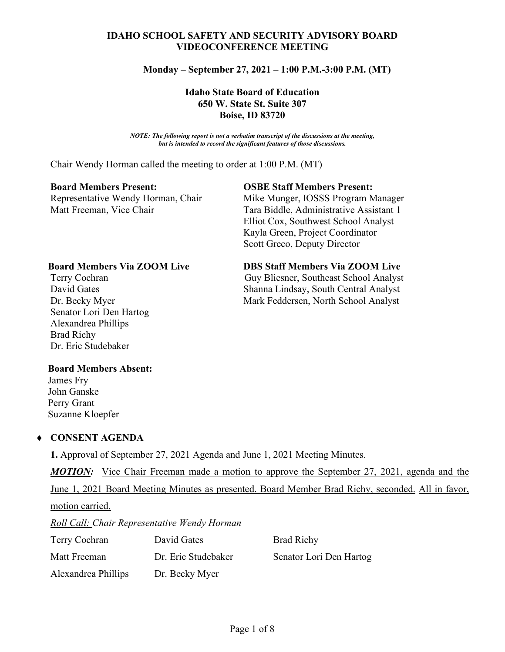#### **IDAHO SCHOOL SAFETY AND SECURITY ADVISORY BOARD VIDEOCONFERENCE MEETING**

#### **Monday – September 27, 2021 – 1:00 P.M.-3:00 P.M. (MT)**

#### **Idaho State Board of Education 650 W. State St. Suite 307 Boise, ID 83720**

*NOTE: The following report is not a verbatim transcript of the discussions at the meeting, but is intended to record the significant features of those discussions.*

Chair Wendy Horman called the meeting to order at 1:00 P.M. (MT)

#### **Board Members Present: OSBE Staff Members Present:**

Representative Wendy Horman, Chair Mike Munger, IOSSS Program Manager Matt Freeman, Vice Chair Tara Biddle, Administrative Assistant 1 Elliot Cox, Southwest School Analyst Kayla Green, Project Coordinator Scott Greco, Deputy Director

 Senator Lori Den Hartog Alexandrea Phillips Brad Richy Dr. Eric Studebaker

#### **Board Members Via ZOOM Live DBS Staff Members Via ZOOM Live**

Terry Cochran Guy Bliesner, Southeast School Analyst David Gates Shanna Lindsay, South Central Analyst Dr. Becky Myer Mark Feddersen, North School Analyst

#### **Board Members Absent:**

 James Fry John Ganske Perry Grant Suzanne Kloepfer

#### ♦ **CONSENT AGENDA**

**1.** Approval of September 27, 2021 Agenda and June 1, 2021 Meeting Minutes.

*MOTION:* Vice Chair Freeman made a motion to approve the September 27, 2021, agenda and the June 1, 2021 Board Meeting Minutes as presented. Board Member Brad Richy, seconded. All in favor, motion carried.

*Roll Call: Chair Representative Wendy Horman*

Terry Cochran **David Gates** Brad Richy Matt Freeman Dr. Eric Studebaker Senator Lori Den Hartog Alexandrea Phillips Dr. Becky Myer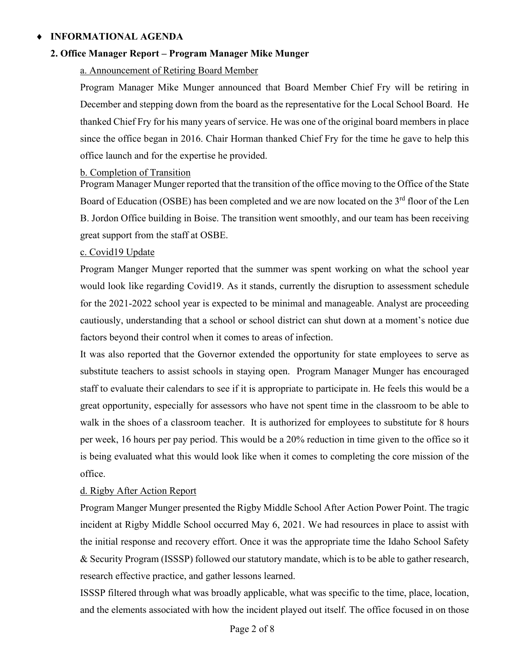#### ♦ **INFORMATIONAL AGENDA**

#### **2. Office Manager Report – Program Manager Mike Munger**

#### a. Announcement of Retiring Board Member

Program Manager Mike Munger announced that Board Member Chief Fry will be retiring in December and stepping down from the board as the representative for the Local School Board. He thanked Chief Fry for his many years of service. He was one of the original board members in place since the office began in 2016. Chair Horman thanked Chief Fry for the time he gave to help this office launch and for the expertise he provided.

#### b. Completion of Transition

Program Manager Munger reported that the transition of the office moving to the Office of the State Board of Education (OSBE) has been completed and we are now located on the  $3<sup>rd</sup>$  floor of the Len B. Jordon Office building in Boise. The transition went smoothly, and our team has been receiving great support from the staff at OSBE.

#### c. Covid19 Update

Program Manger Munger reported that the summer was spent working on what the school year would look like regarding Covid19. As it stands, currently the disruption to assessment schedule for the 2021-2022 school year is expected to be minimal and manageable. Analyst are proceeding cautiously, understanding that a school or school district can shut down at a moment's notice due factors beyond their control when it comes to areas of infection.

It was also reported that the Governor extended the opportunity for state employees to serve as substitute teachers to assist schools in staying open. Program Manager Munger has encouraged staff to evaluate their calendars to see if it is appropriate to participate in. He feels this would be a great opportunity, especially for assessors who have not spent time in the classroom to be able to walk in the shoes of a classroom teacher. It is authorized for employees to substitute for 8 hours per week, 16 hours per pay period. This would be a 20% reduction in time given to the office so it is being evaluated what this would look like when it comes to completing the core mission of the office.

#### d. Rigby After Action Report

Program Manger Munger presented the Rigby Middle School After Action Power Point. The tragic incident at Rigby Middle School occurred May 6, 2021. We had resources in place to assist with the initial response and recovery effort. Once it was the appropriate time the Idaho School Safety & Security Program (ISSSP) followed our statutory mandate, which is to be able to gather research, research effective practice, and gather lessons learned.

ISSSP filtered through what was broadly applicable, what was specific to the time, place, location, and the elements associated with how the incident played out itself. The office focused in on those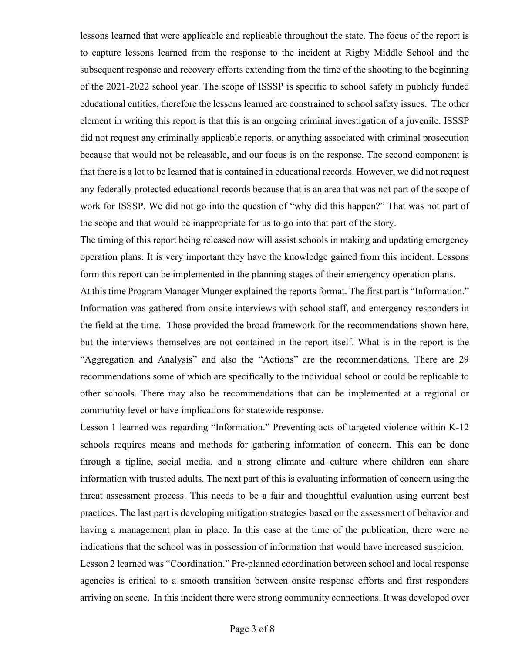lessons learned that were applicable and replicable throughout the state. The focus of the report is to capture lessons learned from the response to the incident at Rigby Middle School and the subsequent response and recovery efforts extending from the time of the shooting to the beginning of the 2021-2022 school year. The scope of ISSSP is specific to school safety in publicly funded educational entities, therefore the lessons learned are constrained to school safety issues. The other element in writing this report is that this is an ongoing criminal investigation of a juvenile. ISSSP did not request any criminally applicable reports, or anything associated with criminal prosecution because that would not be releasable, and our focus is on the response. The second component is that there is a lot to be learned that is contained in educational records. However, we did not request any federally protected educational records because that is an area that was not part of the scope of work for ISSSP. We did not go into the question of "why did this happen?" That was not part of the scope and that would be inappropriate for us to go into that part of the story.

The timing of this report being released now will assist schools in making and updating emergency operation plans. It is very important they have the knowledge gained from this incident. Lessons form this report can be implemented in the planning stages of their emergency operation plans.

At this time Program Manager Munger explained the reports format. The first part is "Information." Information was gathered from onsite interviews with school staff, and emergency responders in the field at the time. Those provided the broad framework for the recommendations shown here, but the interviews themselves are not contained in the report itself. What is in the report is the "Aggregation and Analysis" and also the "Actions" are the recommendations. There are 29 recommendations some of which are specifically to the individual school or could be replicable to other schools. There may also be recommendations that can be implemented at a regional or community level or have implications for statewide response.

Lesson 1 learned was regarding "Information." Preventing acts of targeted violence within K-12 schools requires means and methods for gathering information of concern. This can be done through a tipline, social media, and a strong climate and culture where children can share information with trusted adults. The next part of this is evaluating information of concern using the threat assessment process. This needs to be a fair and thoughtful evaluation using current best practices. The last part is developing mitigation strategies based on the assessment of behavior and having a management plan in place. In this case at the time of the publication, there were no indications that the school was in possession of information that would have increased suspicion. Lesson 2 learned was "Coordination." Pre-planned coordination between school and local response agencies is critical to a smooth transition between onsite response efforts and first responders arriving on scene. In this incident there were strong community connections. It was developed over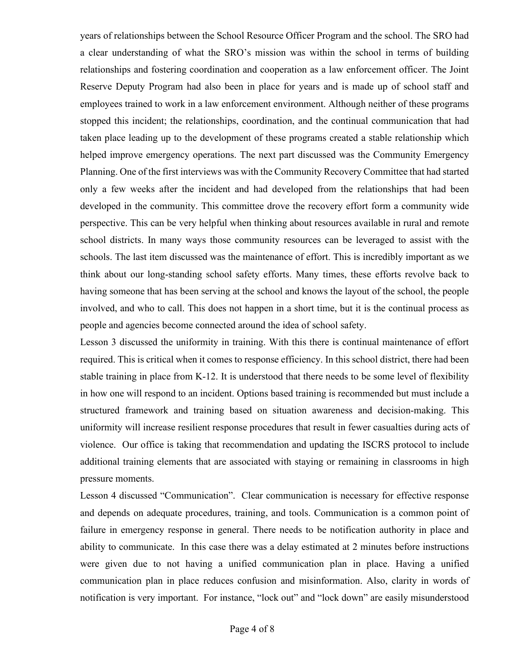years of relationships between the School Resource Officer Program and the school. The SRO had a clear understanding of what the SRO's mission was within the school in terms of building relationships and fostering coordination and cooperation as a law enforcement officer. The Joint Reserve Deputy Program had also been in place for years and is made up of school staff and employees trained to work in a law enforcement environment. Although neither of these programs stopped this incident; the relationships, coordination, and the continual communication that had taken place leading up to the development of these programs created a stable relationship which helped improve emergency operations. The next part discussed was the Community Emergency Planning. One of the first interviews was with the Community Recovery Committee that had started only a few weeks after the incident and had developed from the relationships that had been developed in the community. This committee drove the recovery effort form a community wide perspective. This can be very helpful when thinking about resources available in rural and remote school districts. In many ways those community resources can be leveraged to assist with the schools. The last item discussed was the maintenance of effort. This is incredibly important as we think about our long-standing school safety efforts. Many times, these efforts revolve back to having someone that has been serving at the school and knows the layout of the school, the people involved, and who to call. This does not happen in a short time, but it is the continual process as people and agencies become connected around the idea of school safety.

Lesson 3 discussed the uniformity in training. With this there is continual maintenance of effort required. This is critical when it comes to response efficiency. In this school district, there had been stable training in place from K-12. It is understood that there needs to be some level of flexibility in how one will respond to an incident. Options based training is recommended but must include a structured framework and training based on situation awareness and decision-making. This uniformity will increase resilient response procedures that result in fewer casualties during acts of violence. Our office is taking that recommendation and updating the ISCRS protocol to include additional training elements that are associated with staying or remaining in classrooms in high pressure moments.

Lesson 4 discussed "Communication". Clear communication is necessary for effective response and depends on adequate procedures, training, and tools. Communication is a common point of failure in emergency response in general. There needs to be notification authority in place and ability to communicate. In this case there was a delay estimated at 2 minutes before instructions were given due to not having a unified communication plan in place. Having a unified communication plan in place reduces confusion and misinformation. Also, clarity in words of notification is very important. For instance, "lock out" and "lock down" are easily misunderstood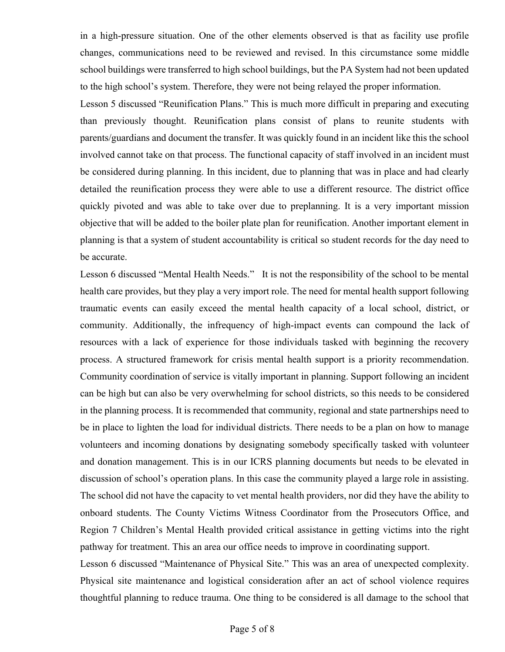in a high-pressure situation. One of the other elements observed is that as facility use profile changes, communications need to be reviewed and revised. In this circumstance some middle school buildings were transferred to high school buildings, but the PA System had not been updated to the high school's system. Therefore, they were not being relayed the proper information.

Lesson 5 discussed "Reunification Plans." This is much more difficult in preparing and executing than previously thought. Reunification plans consist of plans to reunite students with parents/guardians and document the transfer. It was quickly found in an incident like this the school involved cannot take on that process. The functional capacity of staff involved in an incident must be considered during planning. In this incident, due to planning that was in place and had clearly detailed the reunification process they were able to use a different resource. The district office quickly pivoted and was able to take over due to preplanning. It is a very important mission objective that will be added to the boiler plate plan for reunification. Another important element in planning is that a system of student accountability is critical so student records for the day need to be accurate.

Lesson 6 discussed "Mental Health Needs." It is not the responsibility of the school to be mental health care provides, but they play a very import role. The need for mental health support following traumatic events can easily exceed the mental health capacity of a local school, district, or community. Additionally, the infrequency of high-impact events can compound the lack of resources with a lack of experience for those individuals tasked with beginning the recovery process. A structured framework for crisis mental health support is a priority recommendation. Community coordination of service is vitally important in planning. Support following an incident can be high but can also be very overwhelming for school districts, so this needs to be considered in the planning process. It is recommended that community, regional and state partnerships need to be in place to lighten the load for individual districts. There needs to be a plan on how to manage volunteers and incoming donations by designating somebody specifically tasked with volunteer and donation management. This is in our ICRS planning documents but needs to be elevated in discussion of school's operation plans. In this case the community played a large role in assisting. The school did not have the capacity to vet mental health providers, nor did they have the ability to onboard students. The County Victims Witness Coordinator from the Prosecutors Office, and Region 7 Children's Mental Health provided critical assistance in getting victims into the right pathway for treatment. This an area our office needs to improve in coordinating support.

Lesson 6 discussed "Maintenance of Physical Site." This was an area of unexpected complexity. Physical site maintenance and logistical consideration after an act of school violence requires thoughtful planning to reduce trauma. One thing to be considered is all damage to the school that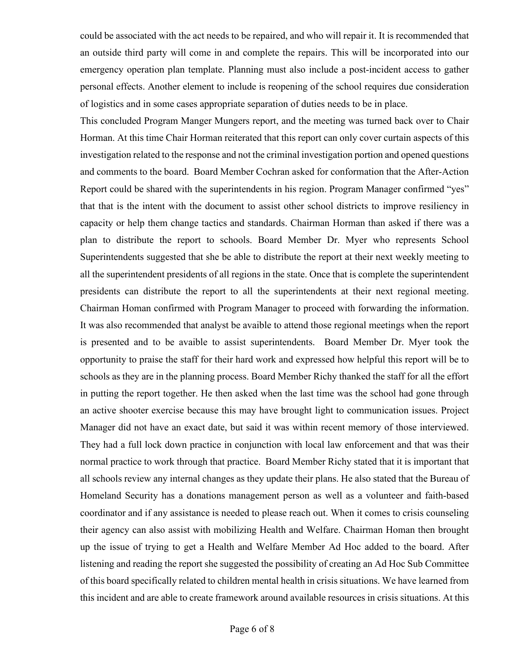could be associated with the act needs to be repaired, and who will repair it. It is recommended that an outside third party will come in and complete the repairs. This will be incorporated into our emergency operation plan template. Planning must also include a post-incident access to gather personal effects. Another element to include is reopening of the school requires due consideration of logistics and in some cases appropriate separation of duties needs to be in place.

This concluded Program Manger Mungers report, and the meeting was turned back over to Chair Horman. At this time Chair Horman reiterated that this report can only cover curtain aspects of this investigation related to the response and not the criminal investigation portion and opened questions and comments to the board. Board Member Cochran asked for conformation that the After-Action Report could be shared with the superintendents in his region. Program Manager confirmed "yes" that that is the intent with the document to assist other school districts to improve resiliency in capacity or help them change tactics and standards. Chairman Horman than asked if there was a plan to distribute the report to schools. Board Member Dr. Myer who represents School Superintendents suggested that she be able to distribute the report at their next weekly meeting to all the superintendent presidents of all regions in the state. Once that is complete the superintendent presidents can distribute the report to all the superintendents at their next regional meeting. Chairman Homan confirmed with Program Manager to proceed with forwarding the information. It was also recommended that analyst be avaible to attend those regional meetings when the report is presented and to be avaible to assist superintendents. Board Member Dr. Myer took the opportunity to praise the staff for their hard work and expressed how helpful this report will be to schools as they are in the planning process. Board Member Richy thanked the staff for all the effort in putting the report together. He then asked when the last time was the school had gone through an active shooter exercise because this may have brought light to communication issues. Project Manager did not have an exact date, but said it was within recent memory of those interviewed. They had a full lock down practice in conjunction with local law enforcement and that was their normal practice to work through that practice. Board Member Richy stated that it is important that all schools review any internal changes as they update their plans. He also stated that the Bureau of Homeland Security has a donations management person as well as a volunteer and faith-based coordinator and if any assistance is needed to please reach out. When it comes to crisis counseling their agency can also assist with mobilizing Health and Welfare. Chairman Homan then brought up the issue of trying to get a Health and Welfare Member Ad Hoc added to the board. After listening and reading the report she suggested the possibility of creating an Ad Hoc Sub Committee of this board specifically related to children mental health in crisis situations. We have learned from this incident and are able to create framework around available resources in crisis situations. At this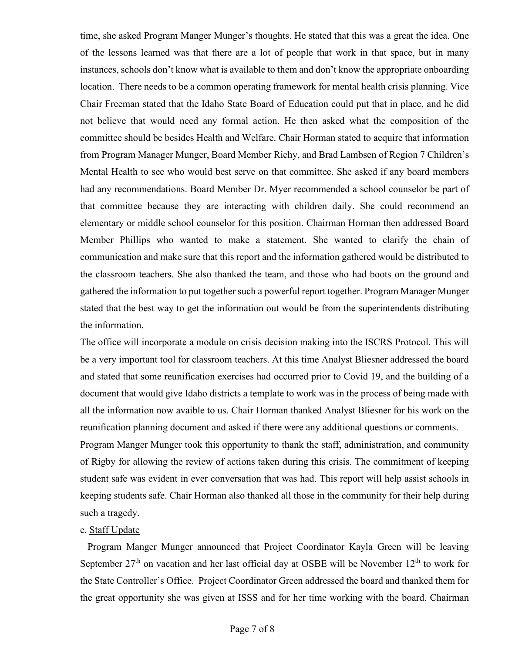time, she asked Program Manger Munger's thoughts. He stated that this was a great the idea. One of the lessons learned was that there are a lot of people that work in that space, but in many instances, schools don't know what is available to them and don't know the appropriate onboarding location. There needs to be a common operating framework for mental health crisis planning. Vice Chair Freeman stated that the Idaho State Board of Education could put that in place, and he did not believe that would need any formal action. He then asked what the composition of the committee should be besides Health and Welfare. Chair Horman stated to acquire that information from Program Manager Munger, Board Member Richy, and Brad Lambsen of Region 7 Children's Mental Health to see who would best serve on that committee. She asked if any board members had any recommendations. Board Member Dr. Myer recommended a school counselor be part of that committee because they are interacting with children daily. She could recommend an elementary or middle school counselor for this position. Chairman Horman then addressed Board Member Phillips who wanted to make a statement. She wanted to clarify the chain of communication and make sure that this report and the information gathered would be distributed to the classroom teachers. She also thanked the team, and those who had boots on the ground and gathered the information to put together such a powerful report together. Program Manager Munger stated that the best way to get the information out would be from the superintendents distributing the information.

The office will incorporate a module on crisis decision making into the ISCRS Protocol. This will be a very important tool for classroom teachers. At this time Analyst Bliesner addressed the board and stated that some reunification exercises had occurred prior to Covid 19, and the building of a document that would give Idaho districts a template to work was in the process of being made with all the information now avaible to us. Chair Horman thanked Analyst Bliesner for his work on the reunification planning document and asked if there were any additional questions or comments.

Program Manger Munger took this opportunity to thank the staff, administration, and community of Rigby for allowing the review of actions taken during this crisis. The commitment of keeping student safe was evident in ever conversation that was had. This report will help assist schools in keeping students safe. Chair Horman also thanked all those in the community for their help during such a tragedy.

#### e. Staff Update

 Program Manger Munger announced that Project Coordinator Kayla Green will be leaving September  $27<sup>th</sup>$  on vacation and her last official day at OSBE will be November  $12<sup>th</sup>$  to work for the State Controller's Office. Project Coordinator Green addressed the board and thanked them for the great opportunity she was given at ISSS and for her time working with the board. Chairman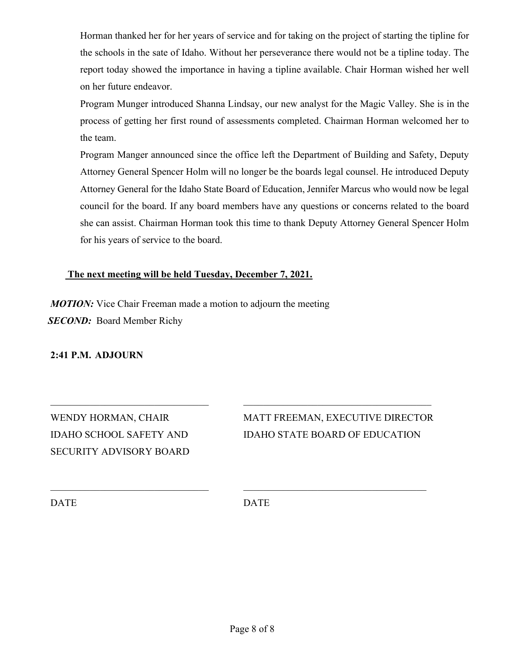Horman thanked her for her years of service and for taking on the project of starting the tipline for the schools in the sate of Idaho. Without her perseverance there would not be a tipline today. The report today showed the importance in having a tipline available. Chair Horman wished her well on her future endeavor.

Program Munger introduced Shanna Lindsay, our new analyst for the Magic Valley. She is in the process of getting her first round of assessments completed. Chairman Horman welcomed her to the team.

Program Manger announced since the office left the Department of Building and Safety, Deputy Attorney General Spencer Holm will no longer be the boards legal counsel. He introduced Deputy Attorney General for the Idaho State Board of Education, Jennifer Marcus who would now be legal council for the board. If any board members have any questions or concerns related to the board she can assist. Chairman Horman took this time to thank Deputy Attorney General Spencer Holm for his years of service to the board.

#### **The next meeting will be held Tuesday, December 7, 2021.**

*MOTION:* Vice Chair Freeman made a motion to adjourn the meeting  *SECOND:* Board Member Richy

#### **2:41 P.M. ADJOURN**

SECURITY ADVISORY BOARD

WENDY HORMAN, CHAIR MATT FREEMAN, EXECUTIVE DIRECTOR IDAHO SCHOOL SAFETY AND IDAHO STATE BOARD OF EDUCATION

DATE DATE

 $\_$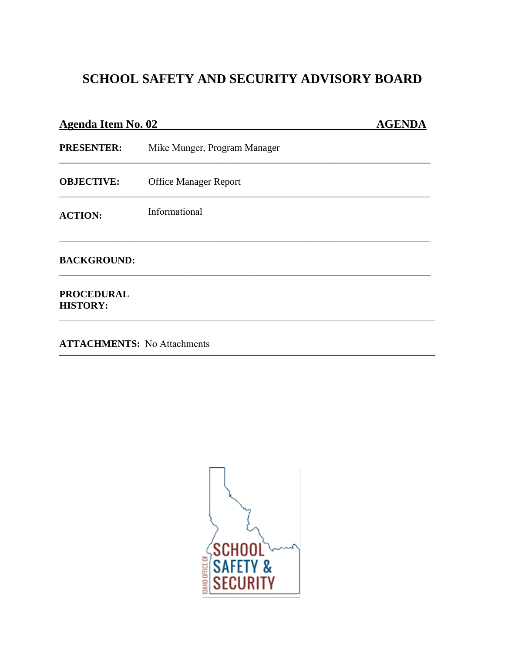| <b>Agenda Item No. 02</b>            |                                    | <b>AGENDA</b> |
|--------------------------------------|------------------------------------|---------------|
| <b>PRESENTER:</b>                    | Mike Munger, Program Manager       |               |
| <b>OBJECTIVE:</b>                    | <b>Office Manager Report</b>       |               |
| <b>ACTION:</b>                       | Informational                      |               |
| <b>BACKGROUND:</b>                   |                                    |               |
| <b>PROCEDURAL</b><br><b>HISTORY:</b> |                                    |               |
|                                      | <b>ATTACHMENTS:</b> No Attachments |               |

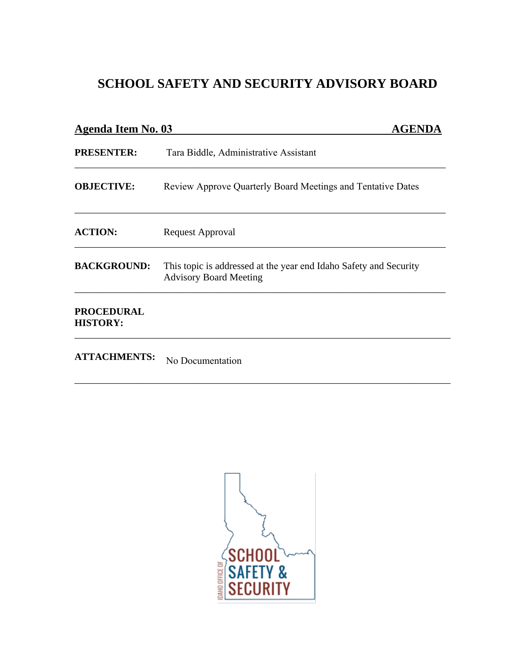| <b>Agenda Item No. 03</b>            | <b>AGENDA</b>                                                                                      |
|--------------------------------------|----------------------------------------------------------------------------------------------------|
| <b>PRESENTER:</b>                    | Tara Biddle, Administrative Assistant                                                              |
| <b>OBJECTIVE:</b>                    | Review Approve Quarterly Board Meetings and Tentative Dates                                        |
| <b>ACTION:</b>                       | Request Approval                                                                                   |
| <b>BACKGROUND:</b>                   | This topic is addressed at the year end Idaho Safety and Security<br><b>Advisory Board Meeting</b> |
| <b>PROCEDURAL</b><br><b>HISTORY:</b> |                                                                                                    |
| <b>ATTACHMENTS:</b>                  | No Documentation                                                                                   |

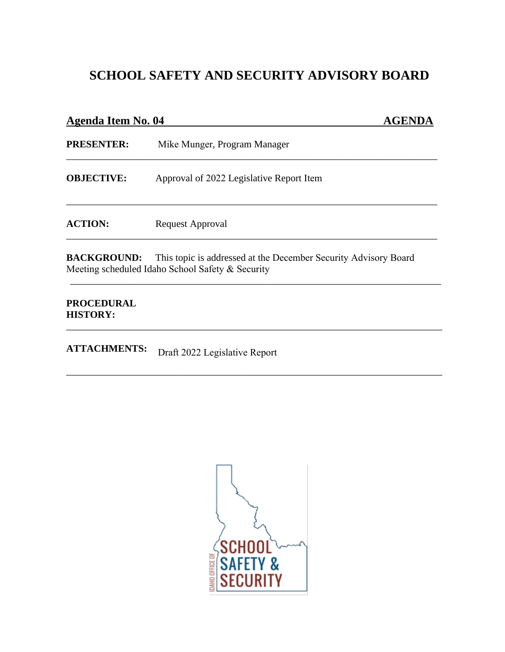| Agenda Item No. 04 |                                          | <b>AGENDA</b> |
|--------------------|------------------------------------------|---------------|
| <b>PRESENTER:</b>  | Mike Munger, Program Manager             |               |
| <b>OBJECTIVE:</b>  | Approval of 2022 Legislative Report Item |               |
| <b>ACTION:</b>     | <b>Request Approval</b>                  |               |
|                    |                                          |               |

**BACKGROUND:** This topic is addressed at the December Security Advisory Board Meeting scheduled Idaho School Safety & Security

\_\_\_\_\_\_\_\_\_\_\_\_\_\_\_\_\_\_\_\_\_\_\_\_\_\_\_\_\_\_\_\_\_\_\_\_\_\_\_\_\_\_\_\_\_\_\_\_\_\_\_\_\_\_\_\_\_\_\_\_\_\_\_\_\_\_\_\_\_\_\_\_\_\_\_

\_\_\_\_\_\_\_\_\_\_\_\_\_\_\_\_\_\_\_\_\_\_\_\_\_\_\_\_\_\_\_\_\_\_\_\_\_\_\_\_\_\_\_\_\_\_\_\_\_\_\_\_\_\_\_\_\_\_\_\_\_\_\_\_\_\_\_\_\_\_\_\_\_\_\_\_

\_\_\_\_\_\_\_\_\_\_\_\_\_\_\_\_\_\_\_\_\_\_\_\_\_\_\_\_\_\_\_\_\_\_\_\_\_\_\_\_\_\_\_\_\_\_\_\_\_\_\_\_\_\_\_\_\_\_\_\_\_\_\_\_\_\_\_\_\_\_\_\_\_\_\_\_

#### **PROCEDURAL HISTORY:**

**ATTACHMENTS:** Draft 2022 Legislative Report

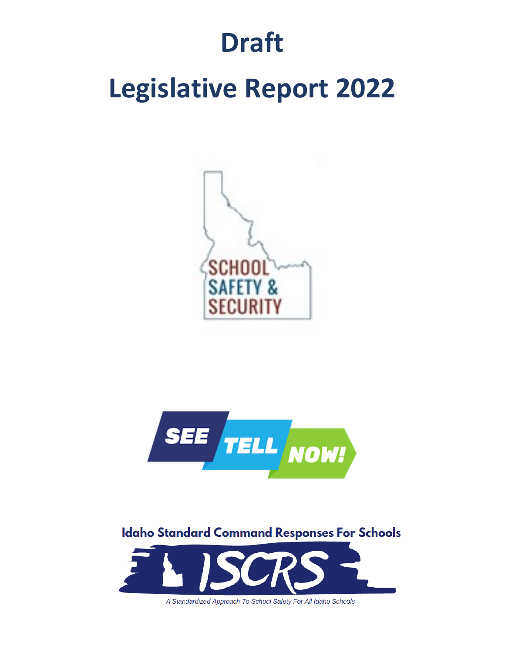# **Draft**

# **Legislative Report 2022**

sci SECURIT



## **Idaho Standard Command Responses For Schools**



A Standardized Approach To School Safety For All Idaho Schools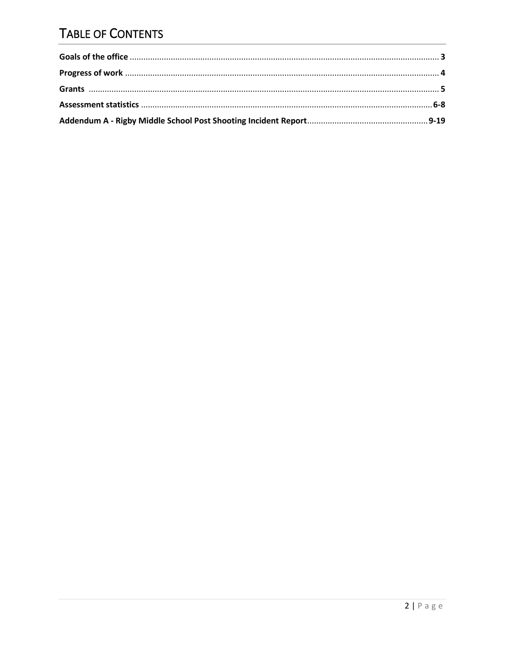## **TABLE OF CONTENTS**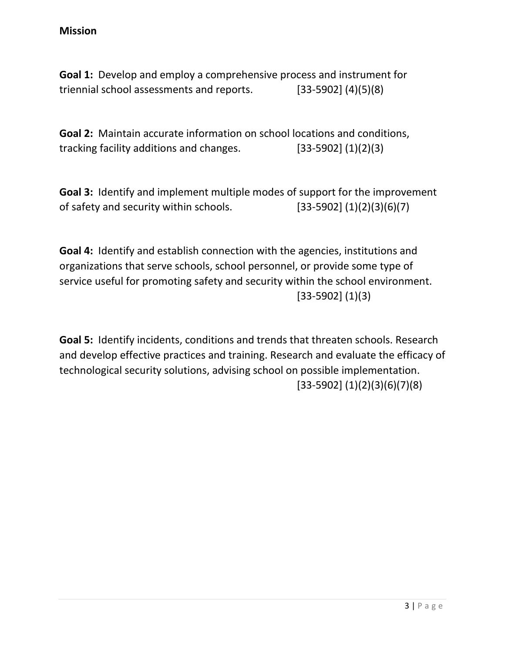**Goal 1:** Develop and employ a comprehensive process and instrument for triennial school assessments and reports. [33-5902] (4)(5)(8)

**Goal 2:** Maintain accurate information on school locations and conditions, tracking facility additions and changes. [33-5902] (1)(2)(3)

**Goal 3:** Identify and implement multiple modes of support for the improvement of safety and security within schools.  $\begin{bmatrix} 33-5902 \end{bmatrix} (1)(2)(3)(6)(7)$ 

**Goal 4:** Identify and establish connection with the agencies, institutions and organizations that serve schools, school personnel, or provide some type of service useful for promoting safety and security within the school environment. [33-5902] (1)(3)

**Goal 5:** Identify incidents, conditions and trends that threaten schools. Research and develop effective practices and training. Research and evaluate the efficacy of technological security solutions, advising school on possible implementation. [33-5902] (1)(2)(3)(6)(7)(8)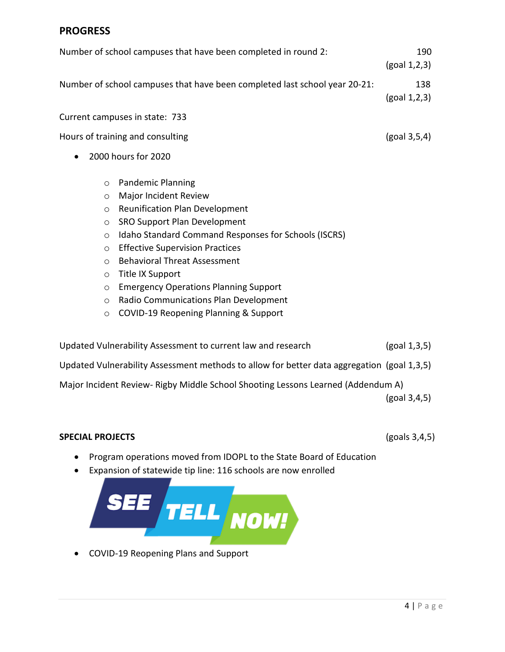#### **PROGRESS**

| Number of school campuses that have been completed in round 2:                             | 190<br>$(g$ oal 1,2,3) |  |
|--------------------------------------------------------------------------------------------|------------------------|--|
| Number of school campuses that have been completed last school year 20-21:                 | 138<br>(goal 1,2,3)    |  |
| Current campuses in state: 733                                                             |                        |  |
| Hours of training and consulting                                                           |                        |  |
| 2000 hours for 2020                                                                        |                        |  |
| <b>Pandemic Planning</b><br>$\circ$                                                        |                        |  |
| Major Incident Review<br>$\circ$                                                           |                        |  |
| <b>Reunification Plan Development</b><br>$\circ$                                           |                        |  |
| SRO Support Plan Development<br>$\circ$                                                    |                        |  |
| Idaho Standard Command Responses for Schools (ISCRS)<br>$\circ$                            |                        |  |
| <b>Effective Supervision Practices</b><br>$\circ$                                          |                        |  |
| <b>Behavioral Threat Assessment</b><br>$\circ$                                             |                        |  |
| Title IX Support<br>$\circ$                                                                |                        |  |
| <b>Emergency Operations Planning Support</b><br>$\circ$                                    |                        |  |
| Radio Communications Plan Development<br>$\circ$                                           |                        |  |
| COVID-19 Reopening Planning & Support<br>$\circ$                                           |                        |  |
| Updated Vulnerability Assessment to current law and research                               | (goal 1,3,5)           |  |
| Updated Vulnerability Assessment methods to allow for better data aggregation (goal 1,3,5) |                        |  |
| Major Incident Review- Rigby Middle School Shooting Lessons Learned (Addendum A)           |                        |  |
|                                                                                            | (goal 3,4,5)           |  |
|                                                                                            |                        |  |

#### **SPECIAL PROJECTS** (goals 3,4,5)

- Program operations moved from IDOPL to the State Board of Education
- Expansion of statewide tip line: 116 schools are now enrolled



• COVID-19 Reopening Plans and Support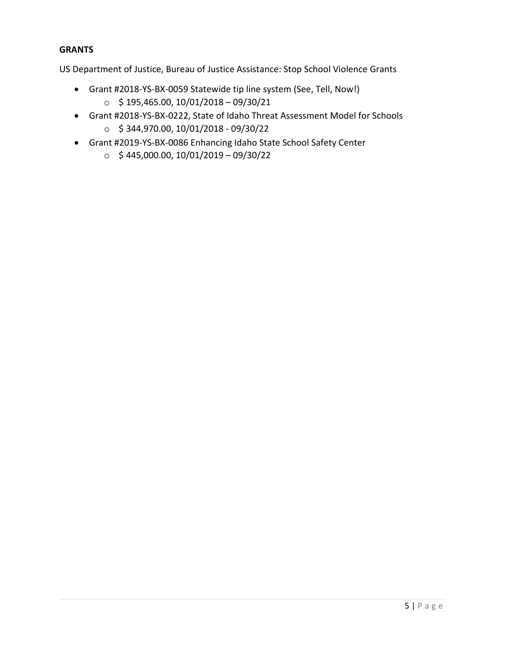#### **GRANTS**

US Department of Justice, Bureau of Justice Assistance: Stop School Violence Grants

- Grant #2018-YS-BX-0059 Statewide tip line system (See, Tell, Now!)
	- o \$ 195,465.00, 10/01/2018 09/30/21
- Grant #2018-YS-BX-0222, State of Idaho Threat Assessment Model for Schools
	- $\circ$  \$ 344,970.00, 10/01/2018 09/30/22
- Grant #2019-YS-BX-0086 Enhancing Idaho State School Safety Center
	- $\circ$  \$ 445,000.00, 10/01/2019 09/30/22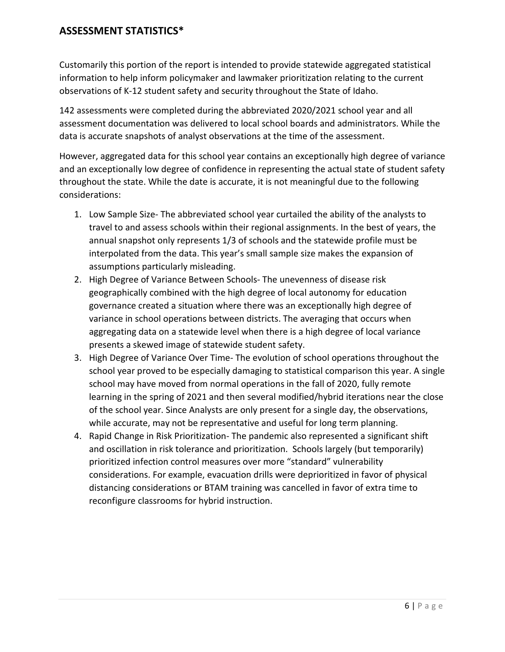#### **ASSESSMENT STATISTICS\***

Customarily this portion of the report is intended to provide statewide aggregated statistical information to help inform policymaker and lawmaker prioritization relating to the current observations of K-12 student safety and security throughout the State of Idaho.

142 assessments were completed during the abbreviated 2020/2021 school year and all assessment documentation was delivered to local school boards and administrators. While the data is accurate snapshots of analyst observations at the time of the assessment.

However, aggregated data for this school year contains an exceptionally high degree of variance and an exceptionally low degree of confidence in representing the actual state of student safety throughout the state. While the date is accurate, it is not meaningful due to the following considerations:

- 1. Low Sample Size- The abbreviated school year curtailed the ability of the analysts to travel to and assess schools within their regional assignments. In the best of years, the annual snapshot only represents 1/3 of schools and the statewide profile must be interpolated from the data. This year's small sample size makes the expansion of assumptions particularly misleading.
- 2. High Degree of Variance Between Schools- The unevenness of disease risk geographically combined with the high degree of local autonomy for education governance created a situation where there was an exceptionally high degree of variance in school operations between districts. The averaging that occurs when aggregating data on a statewide level when there is a high degree of local variance presents a skewed image of statewide student safety.
- 3. High Degree of Variance Over Time- The evolution of school operations throughout the school year proved to be especially damaging to statistical comparison this year. A single school may have moved from normal operations in the fall of 2020, fully remote learning in the spring of 2021 and then several modified/hybrid iterations near the close of the school year. Since Analysts are only present for a single day, the observations, while accurate, may not be representative and useful for long term planning.
- 4. Rapid Change in Risk Prioritization- The pandemic also represented a significant shift and oscillation in risk tolerance and prioritization. Schools largely (but temporarily) prioritized infection control measures over more "standard" vulnerability considerations. For example, evacuation drills were deprioritized in favor of physical distancing considerations or BTAM training was cancelled in favor of extra time to reconfigure classrooms for hybrid instruction.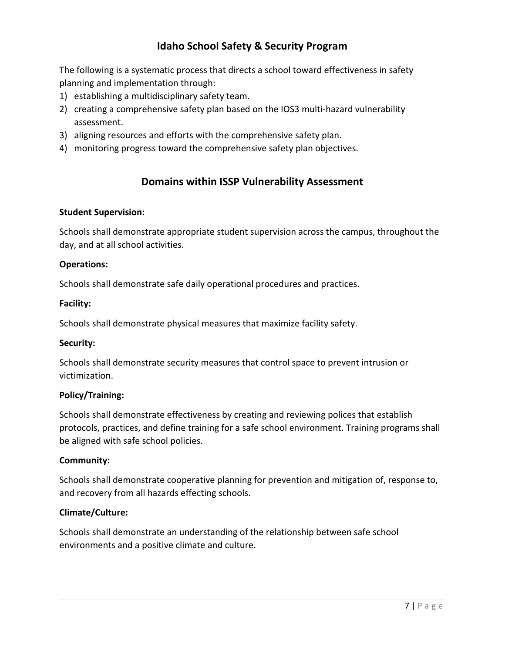#### **Idaho School Safety & Security Program**

The following is a systematic process that directs a school toward effectiveness in safety planning and implementation through:

- 1) establishing a multidisciplinary safety team.
- 2) creating a comprehensive safety plan based on the IOS3 multi-hazard vulnerability assessment.
- 3) aligning resources and efforts with the comprehensive safety plan.
- 4) monitoring progress toward the comprehensive safety plan objectives.

### **Domains within ISSP Vulnerability Assessment**

#### **Student Supervision:**

Schools shall demonstrate appropriate student supervision across the campus, throughout the day, and at all school activities.

#### **Operations:**

Schools shall demonstrate safe daily operational procedures and practices.

#### **Facility:**

Schools shall demonstrate physical measures that maximize facility safety.

#### **Security:**

Schools shall demonstrate security measures that control space to prevent intrusion or victimization.

#### **Policy/Training:**

Schools shall demonstrate effectiveness by creating and reviewing polices that establish protocols, practices, and define training for a safe school environment. Training programs shall be aligned with safe school policies.

#### **Community:**

Schools shall demonstrate cooperative planning for prevention and mitigation of, response to, and recovery from all hazards effecting schools.

#### **Climate/Culture:**

Schools shall demonstrate an understanding of the relationship between safe school environments and a positive climate and culture.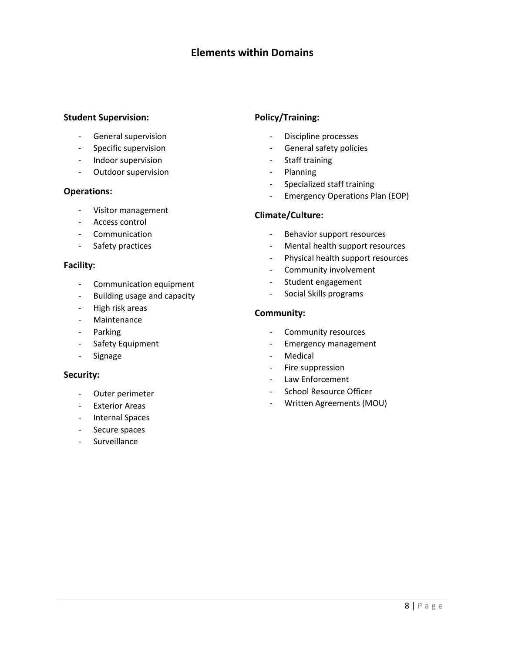#### **Elements within Domains**

#### **Student Supervision:**

- General supervision
- Specific supervision
- Indoor supervision
- Outdoor supervision

#### **Operations:**

- Visitor management
- Access control
- Communication
- Safety practices

#### **Facility:**

- Communication equipment
- Building usage and capacity
- High risk areas
- Maintenance
- Parking
- Safety Equipment
- Signage

#### **Security:**

- Outer perimeter
- Exterior Areas
- Internal Spaces
- Secure spaces
- Surveillance

#### **Policy/Training:**

- Discipline processes
- General safety policies
- Staff training
- Planning
- Specialized staff training
- Emergency Operations Plan (EOP)

#### **Climate/Culture:**

- Behavior support resources
- Mental health support resources
- Physical health support resources
- Community involvement
- Student engagement
- Social Skills programs

#### **Community:**

- Community resources
- Emergency management
- **Medical**
- Fire suppression
- Law Enforcement
- School Resource Officer
- Written Agreements (MOU)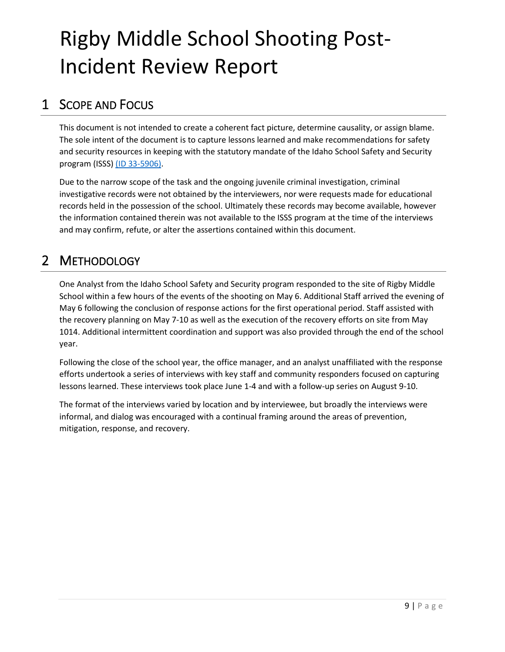## Rigby Middle School Shooting Post-Incident Review Report

## 1 SCOPE AND FOCUS

This document is not intended to create a coherent fact picture, determine causality, or assign blame. The sole intent of the document is to capture lessons learned and make recommendations for safety and security resources in keeping with the statutory mandate of the Idaho School Safety and Security program (ISSS) (ID 33-5906).

Due to the narrow scope of the task and the ongoing juvenile criminal investigation, criminal investigative records were not obtained by the interviewers, nor were requests made for educational records held in the possession of the school. Ultimately these records may become available, however the information contained therein was not available to the ISSS program at the time of the interviews and may confirm, refute, or alter the assertions contained within this document.

## 2 METHODOLOGY

One Analyst from the Idaho School Safety and Security program responded to the site of Rigby Middle School within a few hours of the events of the shooting on May 6. Additional Staff arrived the evening of May 6 following the conclusion of response actions for the first operational period. Staff assisted with the recovery planning on May 7-10 as well as the execution of the recovery efforts on site from May 1014. Additional intermittent coordination and support was also provided through the end of the school year.

Following the close of the school year, the office manager, and an analyst unaffiliated with the response efforts undertook a series of interviews with key staff and community responders focused on capturing lessons learned. These interviews took place June 1-4 and with a follow-up series on August 9-10.

The format of the interviews varied by location and by interviewee, but broadly the interviews were informal, and dialog was encouraged with a continual framing around the areas of prevention, mitigation, response, and recovery.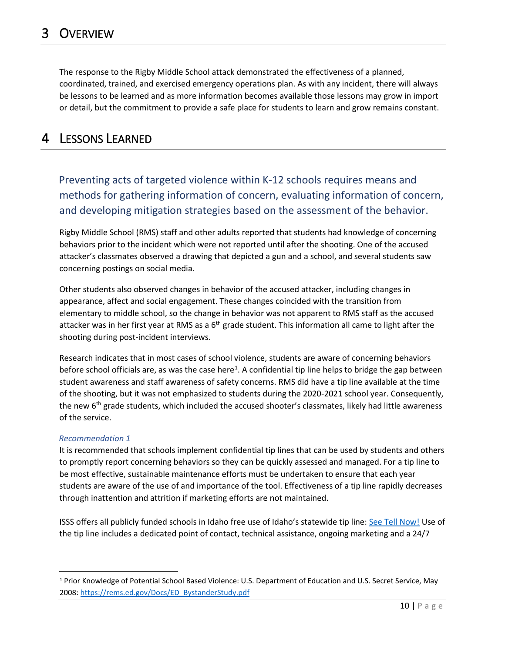The response to the Rigby Middle School attack demonstrated the effectiveness of a planned, coordinated, trained, and exercised emergency operations plan. As with any incident, there will always be lessons to be learned and as more information becomes available those lessons may grow in import or detail, but the commitment to provide a safe place for students to learn and grow remains constant.

## 4 LESSONS LEARNED

Preventing acts of targeted violence within K-12 schools requires means and methods for gathering information of concern, evaluating information of concern, and developing mitigation strategies based on the assessment of the behavior.

Rigby Middle School (RMS) staff and other adults reported that students had knowledge of concerning behaviors prior to the incident which were not reported until after the shooting. One of the accused attacker's classmates observed a drawing that depicted a gun and a school, and several students saw concerning postings on social media.

Other students also observed changes in behavior of the accused attacker, including changes in appearance, affect and social engagement. These changes coincided with the transition from elementary to middle school, so the change in behavior was not apparent to RMS staff as the accused attacker was in her first year at RMS as a 6<sup>th</sup> grade student. This information all came to light after the shooting during post-incident interviews.

Research indicates that in most cases of school violence, students are aware of concerning behaviors before school officials are, as was the case here<sup>1</sup>. A confidential tip line helps to bridge the gap between student awareness and staff awareness of safety concerns. RMS did have a tip line available at the time of the shooting, but it was not emphasized to students during the 2020-2021 school year. Consequently, the new  $6<sup>th</sup>$  grade students, which included the accused shooter's classmates, likely had little awareness of the service.

#### *Recommendation 1*

It is recommended that schools implement confidential tip lines that can be used by students and others to promptly report concerning behaviors so they can be quickly assessed and managed. For a tip line to be most effective, sustainable maintenance efforts must be undertaken to ensure that each year students are aware of the use of and importance of the tool. Effectiveness of a tip line rapidly decreases through inattention and attrition if marketing efforts are not maintained.

ISSS offers all publicly funded schools in Idaho free use of Idaho's statewide tip line: See Tell Now! Use of the tip line includes a dedicated point of contact, technical assistance, ongoing marketing and a 24/7

<sup>1</sup> Prior Knowledge of Potential School Based Violence: U.S. Department of Education and U.S. Secret Service, May 2008: https://rems.ed.gov/Docs/ED\_BystanderStudy.pdf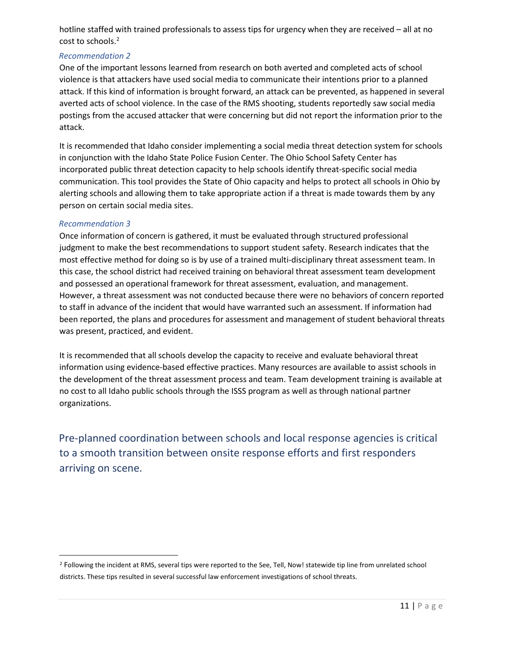hotline staffed with trained professionals to assess tips for urgency when they are received – all at no cost to schools.<sup>2</sup>

#### *Recommendation 2*

One of the important lessons learned from research on both averted and completed acts of school violence is that attackers have used social media to communicate their intentions prior to a planned attack. If this kind of information is brought forward, an attack can be prevented, as happened in several averted acts of school violence. In the case of the RMS shooting, students reportedly saw social media postings from the accused attacker that were concerning but did not report the information prior to the attack.

It is recommended that Idaho consider implementing a social media threat detection system for schools in conjunction with the Idaho State Police Fusion Center. The Ohio School Safety Center has incorporated public threat detection capacity to help schools identify threat-specific social media communication. This tool provides the State of Ohio capacity and helps to protect all schools in Ohio by alerting schools and allowing them to take appropriate action if a threat is made towards them by any person on certain social media sites.

#### *Recommendation 3*

Once information of concern is gathered, it must be evaluated through structured professional judgment to make the best recommendations to support student safety. Research indicates that the most effective method for doing so is by use of a trained multi-disciplinary threat assessment team. In this case, the school district had received training on behavioral threat assessment team development and possessed an operational framework for threat assessment, evaluation, and management. However, a threat assessment was not conducted because there were no behaviors of concern reported to staff in advance of the incident that would have warranted such an assessment. If information had been reported, the plans and procedures for assessment and management of student behavioral threats was present, practiced, and evident.

It is recommended that all schools develop the capacity to receive and evaluate behavioral threat information using evidence-based effective practices. Many resources are available to assist schools in the development of the threat assessment process and team. Team development training is available at no cost to all Idaho public schools through the ISSS program as well as through national partner organizations.

Pre-planned coordination between schools and local response agencies is critical to a smooth transition between onsite response efforts and first responders arriving on scene.

<sup>&</sup>lt;sup>2</sup> Following the incident at RMS, several tips were reported to the See, Tell, Now! statewide tip line from unrelated school districts. These tips resulted in several successful law enforcement investigations of school threats.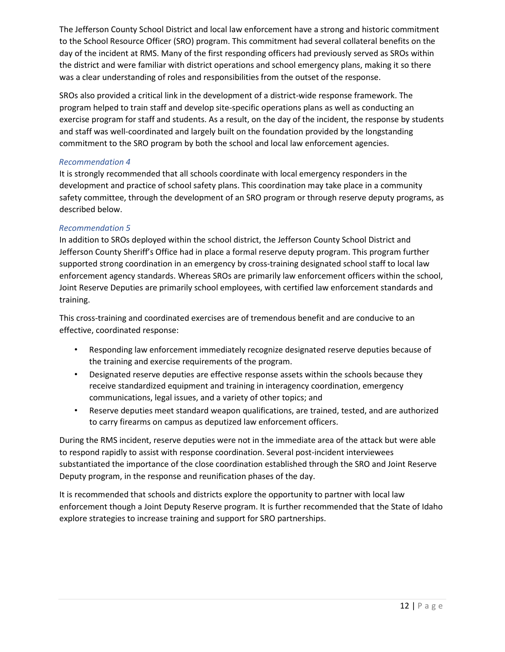The Jefferson County School District and local law enforcement have a strong and historic commitment to the School Resource Officer (SRO) program. This commitment had several collateral benefits on the day of the incident at RMS. Many of the first responding officers had previously served as SROs within the district and were familiar with district operations and school emergency plans, making it so there was a clear understanding of roles and responsibilities from the outset of the response.

SROs also provided a critical link in the development of a district-wide response framework. The program helped to train staff and develop site-specific operations plans as well as conducting an exercise program for staff and students. As a result, on the day of the incident, the response by students and staff was well-coordinated and largely built on the foundation provided by the longstanding commitment to the SRO program by both the school and local law enforcement agencies.

#### *Recommendation 4*

It is strongly recommended that all schools coordinate with local emergency responders in the development and practice of school safety plans. This coordination may take place in a community safety committee, through the development of an SRO program or through reserve deputy programs, as described below.

#### *Recommendation 5*

In addition to SROs deployed within the school district, the Jefferson County School District and Jefferson County Sheriff's Office had in place a formal reserve deputy program. This program further supported strong coordination in an emergency by cross-training designated school staff to local law enforcement agency standards. Whereas SROs are primarily law enforcement officers within the school, Joint Reserve Deputies are primarily school employees, with certified law enforcement standards and training.

This cross-training and coordinated exercises are of tremendous benefit and are conducive to an effective, coordinated response:

- Responding law enforcement immediately recognize designated reserve deputies because of the training and exercise requirements of the program.
- Designated reserve deputies are effective response assets within the schools because they receive standardized equipment and training in interagency coordination, emergency communications, legal issues, and a variety of other topics; and
- Reserve deputies meet standard weapon qualifications, are trained, tested, and are authorized to carry firearms on campus as deputized law enforcement officers.

During the RMS incident, reserve deputies were not in the immediate area of the attack but were able to respond rapidly to assist with response coordination. Several post-incident interviewees substantiated the importance of the close coordination established through the SRO and Joint Reserve Deputy program, in the response and reunification phases of the day.

It is recommended that schools and districts explore the opportunity to partner with local law enforcement though a Joint Deputy Reserve program. It is further recommended that the State of Idaho explore strategies to increase training and support for SRO partnerships.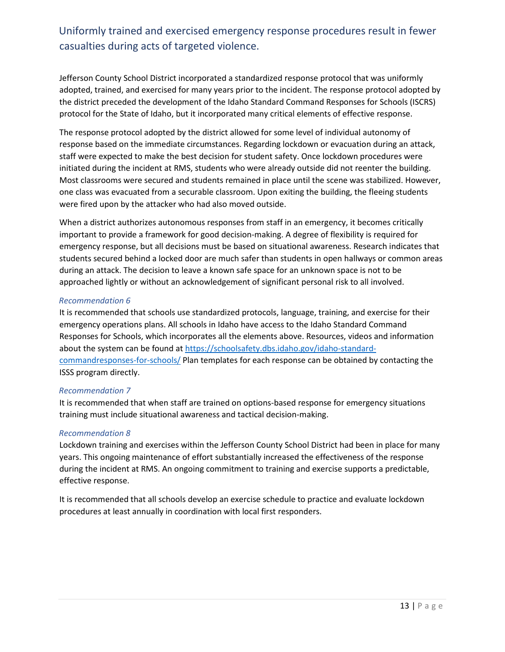## Uniformly trained and exercised emergency response procedures result in fewer casualties during acts of targeted violence.

Jefferson County School District incorporated a standardized response protocol that was uniformly adopted, trained, and exercised for many years prior to the incident. The response protocol adopted by the district preceded the development of the Idaho Standard Command Responses for Schools (ISCRS) protocol for the State of Idaho, but it incorporated many critical elements of effective response.

The response protocol adopted by the district allowed for some level of individual autonomy of response based on the immediate circumstances. Regarding lockdown or evacuation during an attack, staff were expected to make the best decision for student safety. Once lockdown procedures were initiated during the incident at RMS, students who were already outside did not reenter the building. Most classrooms were secured and students remained in place until the scene was stabilized. However, one class was evacuated from a securable classroom. Upon exiting the building, the fleeing students were fired upon by the attacker who had also moved outside.

When a district authorizes autonomous responses from staff in an emergency, it becomes critically important to provide a framework for good decision-making. A degree of flexibility is required for emergency response, but all decisions must be based on situational awareness. Research indicates that students secured behind a locked door are much safer than students in open hallways or common areas during an attack. The decision to leave a known safe space for an unknown space is not to be approached lightly or without an acknowledgement of significant personal risk to all involved.

#### *Recommendation 6*

It is recommended that schools use standardized protocols, language, training, and exercise for their emergency operations plans. All schools in Idaho have access to the Idaho Standard Command Responses for Schools, which incorporates all the elements above. Resources, videos and information about the system can be found at https://schoolsafety.dbs.idaho.gov/idaho-standardcommandresponses-for-schools/ Plan templates for each response can be obtained by contacting the ISSS program directly.

#### *Recommendation 7*

It is recommended that when staff are trained on options-based response for emergency situations training must include situational awareness and tactical decision-making.

#### *Recommendation 8*

Lockdown training and exercises within the Jefferson County School District had been in place for many years. This ongoing maintenance of effort substantially increased the effectiveness of the response during the incident at RMS. An ongoing commitment to training and exercise supports a predictable, effective response.

It is recommended that all schools develop an exercise schedule to practice and evaluate lockdown procedures at least annually in coordination with local first responders.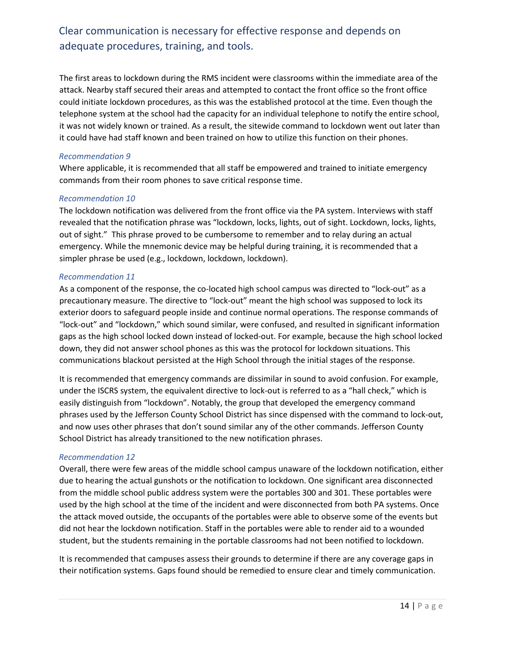## Clear communication is necessary for effective response and depends on adequate procedures, training, and tools.

The first areas to lockdown during the RMS incident were classrooms within the immediate area of the attack. Nearby staff secured their areas and attempted to contact the front office so the front office could initiate lockdown procedures, as this was the established protocol at the time. Even though the telephone system at the school had the capacity for an individual telephone to notify the entire school, it was not widely known or trained. As a result, the sitewide command to lockdown went out later than it could have had staff known and been trained on how to utilize this function on their phones.

#### *Recommendation 9*

Where applicable, it is recommended that all staff be empowered and trained to initiate emergency commands from their room phones to save critical response time.

#### *Recommendation 10*

The lockdown notification was delivered from the front office via the PA system. Interviews with staff revealed that the notification phrase was "lockdown, locks, lights, out of sight. Lockdown, locks, lights, out of sight." This phrase proved to be cumbersome to remember and to relay during an actual emergency. While the mnemonic device may be helpful during training, it is recommended that a simpler phrase be used (e.g., lockdown, lockdown, lockdown).

#### *Recommendation 11*

As a component of the response, the co-located high school campus was directed to "lock-out" as a precautionary measure. The directive to "lock-out" meant the high school was supposed to lock its exterior doors to safeguard people inside and continue normal operations. The response commands of "lock-out" and "lockdown," which sound similar, were confused, and resulted in significant information gaps as the high school locked down instead of locked-out. For example, because the high school locked down, they did not answer school phones as this was the protocol for lockdown situations. This communications blackout persisted at the High School through the initial stages of the response.

It is recommended that emergency commands are dissimilar in sound to avoid confusion. For example, under the ISCRS system, the equivalent directive to lock-out is referred to as a "hall check," which is easily distinguish from "lockdown". Notably, the group that developed the emergency command phrases used by the Jefferson County School District has since dispensed with the command to lock-out, and now uses other phrases that don't sound similar any of the other commands. Jefferson County School District has already transitioned to the new notification phrases.

#### *Recommendation 12*

Overall, there were few areas of the middle school campus unaware of the lockdown notification, either due to hearing the actual gunshots or the notification to lockdown. One significant area disconnected from the middle school public address system were the portables 300 and 301. These portables were used by the high school at the time of the incident and were disconnected from both PA systems. Once the attack moved outside, the occupants of the portables were able to observe some of the events but did not hear the lockdown notification. Staff in the portables were able to render aid to a wounded student, but the students remaining in the portable classrooms had not been notified to lockdown.

It is recommended that campuses assess their grounds to determine if there are any coverage gaps in their notification systems. Gaps found should be remedied to ensure clear and timely communication.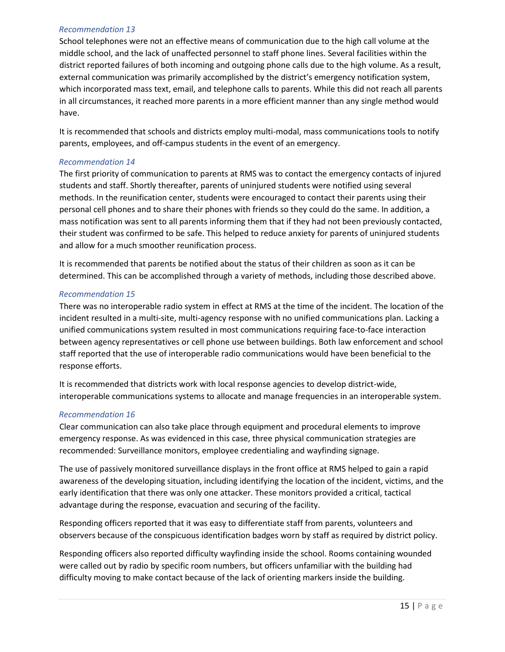#### *Recommendation 13*

School telephones were not an effective means of communication due to the high call volume at the middle school, and the lack of unaffected personnel to staff phone lines. Several facilities within the district reported failures of both incoming and outgoing phone calls due to the high volume. As a result, external communication was primarily accomplished by the district's emergency notification system, which incorporated mass text, email, and telephone calls to parents. While this did not reach all parents in all circumstances, it reached more parents in a more efficient manner than any single method would have.

It is recommended that schools and districts employ multi-modal, mass communications tools to notify parents, employees, and off-campus students in the event of an emergency.

#### *Recommendation 14*

The first priority of communication to parents at RMS was to contact the emergency contacts of injured students and staff. Shortly thereafter, parents of uninjured students were notified using several methods. In the reunification center, students were encouraged to contact their parents using their personal cell phones and to share their phones with friends so they could do the same. In addition, a mass notification was sent to all parents informing them that if they had not been previously contacted, their student was confirmed to be safe. This helped to reduce anxiety for parents of uninjured students and allow for a much smoother reunification process.

It is recommended that parents be notified about the status of their children as soon as it can be determined. This can be accomplished through a variety of methods, including those described above.

#### *Recommendation 15*

There was no interoperable radio system in effect at RMS at the time of the incident. The location of the incident resulted in a multi-site, multi-agency response with no unified communications plan. Lacking a unified communications system resulted in most communications requiring face-to-face interaction between agency representatives or cell phone use between buildings. Both law enforcement and school staff reported that the use of interoperable radio communications would have been beneficial to the response efforts.

It is recommended that districts work with local response agencies to develop district-wide, interoperable communications systems to allocate and manage frequencies in an interoperable system.

#### *Recommendation 16*

Clear communication can also take place through equipment and procedural elements to improve emergency response. As was evidenced in this case, three physical communication strategies are recommended: Surveillance monitors, employee credentialing and wayfinding signage.

The use of passively monitored surveillance displays in the front office at RMS helped to gain a rapid awareness of the developing situation, including identifying the location of the incident, victims, and the early identification that there was only one attacker. These monitors provided a critical, tactical advantage during the response, evacuation and securing of the facility.

Responding officers reported that it was easy to differentiate staff from parents, volunteers and observers because of the conspicuous identification badges worn by staff as required by district policy.

Responding officers also reported difficulty wayfinding inside the school. Rooms containing wounded were called out by radio by specific room numbers, but officers unfamiliar with the building had difficulty moving to make contact because of the lack of orienting markers inside the building.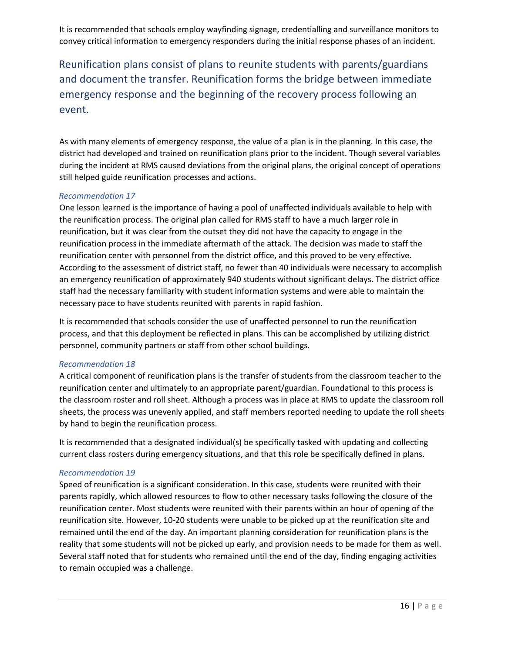It is recommended that schools employ wayfinding signage, credentialling and surveillance monitors to convey critical information to emergency responders during the initial response phases of an incident.

Reunification plans consist of plans to reunite students with parents/guardians and document the transfer. Reunification forms the bridge between immediate emergency response and the beginning of the recovery process following an event.

As with many elements of emergency response, the value of a plan is in the planning. In this case, the district had developed and trained on reunification plans prior to the incident. Though several variables during the incident at RMS caused deviations from the original plans, the original concept of operations still helped guide reunification processes and actions.

#### *Recommendation 17*

One lesson learned is the importance of having a pool of unaffected individuals available to help with the reunification process. The original plan called for RMS staff to have a much larger role in reunification, but it was clear from the outset they did not have the capacity to engage in the reunification process in the immediate aftermath of the attack. The decision was made to staff the reunification center with personnel from the district office, and this proved to be very effective. According to the assessment of district staff, no fewer than 40 individuals were necessary to accomplish an emergency reunification of approximately 940 students without significant delays. The district office staff had the necessary familiarity with student information systems and were able to maintain the necessary pace to have students reunited with parents in rapid fashion.

It is recommended that schools consider the use of unaffected personnel to run the reunification process, and that this deployment be reflected in plans. This can be accomplished by utilizing district personnel, community partners or staff from other school buildings.

#### *Recommendation 18*

A critical component of reunification plans is the transfer of students from the classroom teacher to the reunification center and ultimately to an appropriate parent/guardian. Foundational to this process is the classroom roster and roll sheet. Although a process was in place at RMS to update the classroom roll sheets, the process was unevenly applied, and staff members reported needing to update the roll sheets by hand to begin the reunification process.

It is recommended that a designated individual(s) be specifically tasked with updating and collecting current class rosters during emergency situations, and that this role be specifically defined in plans.

#### *Recommendation 19*

Speed of reunification is a significant consideration. In this case, students were reunited with their parents rapidly, which allowed resources to flow to other necessary tasks following the closure of the reunification center. Most students were reunited with their parents within an hour of opening of the reunification site. However, 10-20 students were unable to be picked up at the reunification site and remained until the end of the day. An important planning consideration for reunification plans is the reality that some students will not be picked up early, and provision needs to be made for them as well. Several staff noted that for students who remained until the end of the day, finding engaging activities to remain occupied was a challenge.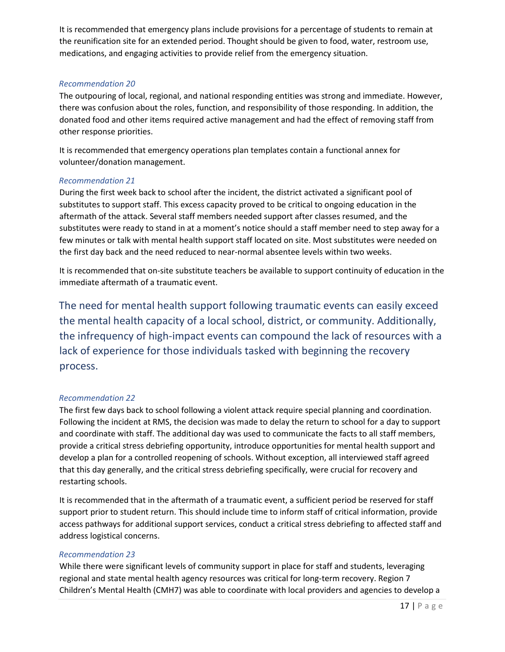It is recommended that emergency plans include provisions for a percentage of students to remain at the reunification site for an extended period. Thought should be given to food, water, restroom use, medications, and engaging activities to provide relief from the emergency situation.

#### *Recommendation 20*

The outpouring of local, regional, and national responding entities was strong and immediate. However, there was confusion about the roles, function, and responsibility of those responding. In addition, the donated food and other items required active management and had the effect of removing staff from other response priorities.

It is recommended that emergency operations plan templates contain a functional annex for volunteer/donation management.

#### *Recommendation 21*

During the first week back to school after the incident, the district activated a significant pool of substitutes to support staff. This excess capacity proved to be critical to ongoing education in the aftermath of the attack. Several staff members needed support after classes resumed, and the substitutes were ready to stand in at a moment's notice should a staff member need to step away for a few minutes or talk with mental health support staff located on site. Most substitutes were needed on the first day back and the need reduced to near-normal absentee levels within two weeks.

It is recommended that on-site substitute teachers be available to support continuity of education in the immediate aftermath of a traumatic event.

The need for mental health support following traumatic events can easily exceed the mental health capacity of a local school, district, or community. Additionally, the infrequency of high-impact events can compound the lack of resources with a lack of experience for those individuals tasked with beginning the recovery process.

#### *Recommendation 22*

The first few days back to school following a violent attack require special planning and coordination. Following the incident at RMS, the decision was made to delay the return to school for a day to support and coordinate with staff. The additional day was used to communicate the facts to all staff members, provide a critical stress debriefing opportunity, introduce opportunities for mental health support and develop a plan for a controlled reopening of schools. Without exception, all interviewed staff agreed that this day generally, and the critical stress debriefing specifically, were crucial for recovery and restarting schools.

It is recommended that in the aftermath of a traumatic event, a sufficient period be reserved for staff support prior to student return. This should include time to inform staff of critical information, provide access pathways for additional support services, conduct a critical stress debriefing to affected staff and address logistical concerns.

#### *Recommendation 23*

While there were significant levels of community support in place for staff and students, leveraging regional and state mental health agency resources was critical for long-term recovery. Region 7 Children's Mental Health (CMH7) was able to coordinate with local providers and agencies to develop a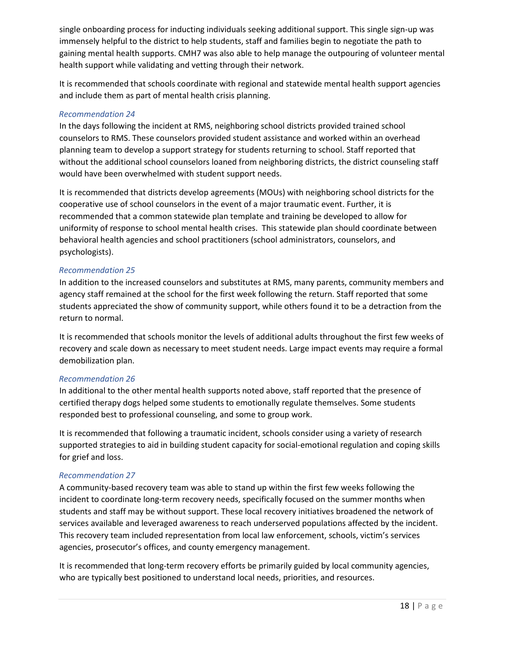single onboarding process for inducting individuals seeking additional support. This single sign-up was immensely helpful to the district to help students, staff and families begin to negotiate the path to gaining mental health supports. CMH7 was also able to help manage the outpouring of volunteer mental health support while validating and vetting through their network.

It is recommended that schools coordinate with regional and statewide mental health support agencies and include them as part of mental health crisis planning.

#### *Recommendation 24*

In the days following the incident at RMS, neighboring school districts provided trained school counselors to RMS. These counselors provided student assistance and worked within an overhead planning team to develop a support strategy for students returning to school. Staff reported that without the additional school counselors loaned from neighboring districts, the district counseling staff would have been overwhelmed with student support needs.

It is recommended that districts develop agreements (MOUs) with neighboring school districts for the cooperative use of school counselors in the event of a major traumatic event. Further, it is recommended that a common statewide plan template and training be developed to allow for uniformity of response to school mental health crises. This statewide plan should coordinate between behavioral health agencies and school practitioners (school administrators, counselors, and psychologists).

#### *Recommendation 25*

In addition to the increased counselors and substitutes at RMS, many parents, community members and agency staff remained at the school for the first week following the return. Staff reported that some students appreciated the show of community support, while others found it to be a detraction from the return to normal.

It is recommended that schools monitor the levels of additional adults throughout the first few weeks of recovery and scale down as necessary to meet student needs. Large impact events may require a formal demobilization plan.

#### *Recommendation 26*

In additional to the other mental health supports noted above, staff reported that the presence of certified therapy dogs helped some students to emotionally regulate themselves. Some students responded best to professional counseling, and some to group work.

It is recommended that following a traumatic incident, schools consider using a variety of research supported strategies to aid in building student capacity for social-emotional regulation and coping skills for grief and loss.

#### *Recommendation 27*

A community-based recovery team was able to stand up within the first few weeks following the incident to coordinate long-term recovery needs, specifically focused on the summer months when students and staff may be without support. These local recovery initiatives broadened the network of services available and leveraged awareness to reach underserved populations affected by the incident. This recovery team included representation from local law enforcement, schools, victim's services agencies, prosecutor's offices, and county emergency management.

It is recommended that long-term recovery efforts be primarily guided by local community agencies, who are typically best positioned to understand local needs, priorities, and resources.